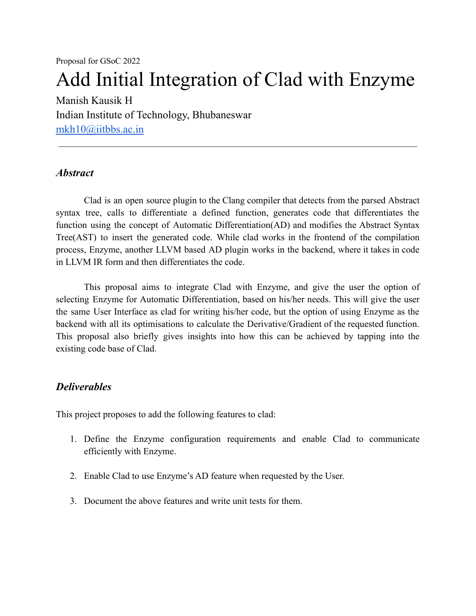Proposal for GSoC 2022

# Add Initial Integration of Clad with Enzyme

Manish Kausik H Indian Institute of Technology, Bhubaneswar [mkh10@iitbbs.ac.in](mailto:mkh10@iitbbs.ac.in)

### *Abstract*

Clad is an open source plugin to the Clang compiler that detects from the parsed Abstract syntax tree, calls to differentiate a defined function, generates code that differentiates the function using the concept of Automatic Differentiation(AD) and modifies the Abstract Syntax Tree(AST) to insert the generated code. While clad works in the frontend of the compilation process, Enzyme, another LLVM based AD plugin works in the backend, where it takes in code in LLVM IR form and then differentiates the code.

This proposal aims to integrate Clad with Enzyme, and give the user the option of selecting Enzyme for Automatic Differentiation, based on his/her needs. This will give the user the same User Interface as clad for writing his/her code, but the option of using Enzyme as the backend with all its optimisations to calculate the Derivative/Gradient of the requested function. This proposal also briefly gives insights into how this can be achieved by tapping into the existing code base of Clad.

## *Deliverables*

This project proposes to add the following features to clad:

- 1. Define the Enzyme configuration requirements and enable Clad to communicate efficiently with Enzyme.
- 2. Enable Clad to use Enzyme's AD feature when requested by the User.
- 3. Document the above features and write unit tests for them.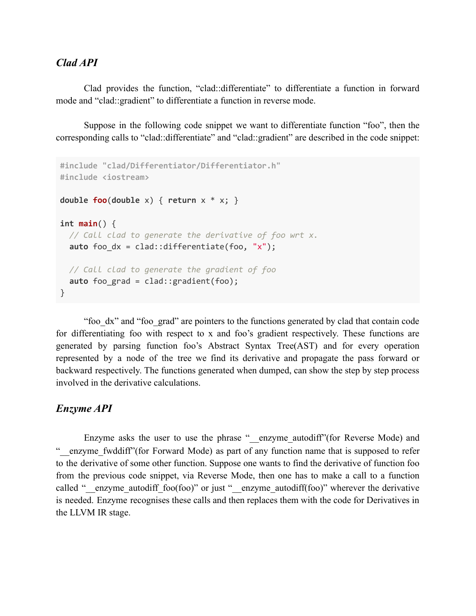### *Clad API*

Clad provides the function, "clad::differentiate" to differentiate a function in forward mode and "clad::gradient" to differentiate a function in reverse mode.

Suppose in the following code snippet we want to differentiate function "foo", then the corresponding calls to "clad::differentiate" and "clad::gradient" are described in the code snippet:

```
#include "clad/Differentiator/Differentiator.h"
#include <iostream>
double foo(double x) { return x * x; }
int main() {
  // Call clad to generate the derivative of foo wrt x.
  auto foo dx = clad::differentiate(foo, "x");
 // Call clad to generate the gradient of foo
 auto foo_grad = clad::gradient(foo);
}
```
"foo\_dx" and "foo\_grad" are pointers to the functions generated by clad that contain code for differentiating foo with respect to x and foo's gradient respectively. These functions are generated by parsing function foo's Abstract Syntax Tree(AST) and for every operation represented by a node of the tree we find its derivative and propagate the pass forward or backward respectively. The functions generated when dumped, can show the step by step process involved in the derivative calculations.

## *Enzyme API*

Enzyme asks the user to use the phrase "\_\_enzyme\_autodiff" (for Reverse Mode) and "\_\_enzyme\_fwddiff"(for Forward Mode) as part of any function name that is supposed to refer to the derivative of some other function. Suppose one wants to find the derivative of function foo from the previous code snippet, via Reverse Mode, then one has to make a call to a function called " $\epsilon$  enzyme autodiff foo(foo)" or just " $\epsilon$  enzyme autodiff(foo)" wherever the derivative is needed. Enzyme recognises these calls and then replaces them with the code for Derivatives in the LLVM IR stage.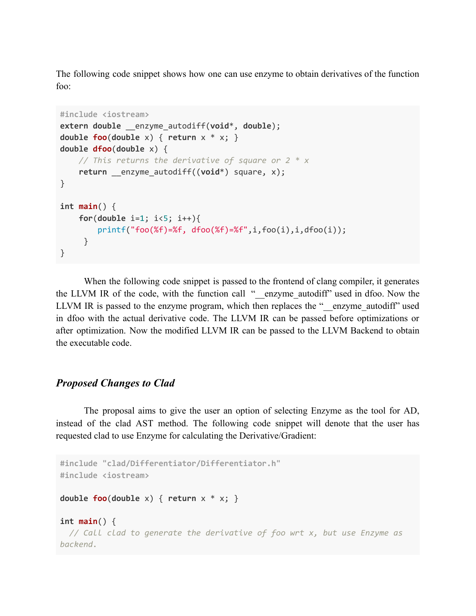The following code snippet shows how one can use enzyme to obtain derivatives of the function foo:

```
#include <iostream>
extern double __enzyme_autodiff(void*, double);
double foo(double x) { return x * x; }
double dfoo(double x) {
   // This returns the derivative of square or 2 * x
    return __enzyme_autodiff((void*) square, x);
}
int main() {
    for(double i=1; i<5; i++){
        printf("foo(%f)=%f, dfoo(%f)=%f",i,foo(i),i,dfoo(i));
     }
}
```
When the following code snippet is passed to the frontend of clang compiler, it generates the LLVM IR of the code, with the function call " \_\_enzyme\_autodiff" used in dfoo. Now the LLVM IR is passed to the enzyme program, which then replaces the "\_\_enzyme\_autodiff" used in dfoo with the actual derivative code. The LLVM IR can be passed before optimizations or after optimization. Now the modified LLVM IR can be passed to the LLVM Backend to obtain the executable code.

#### *Proposed Changes to Clad*

The proposal aims to give the user an option of selecting Enzyme as the tool for AD, instead of the clad AST method. The following code snippet will denote that the user has requested clad to use Enzyme for calculating the Derivative/Gradient:

```
#include "clad/Differentiator/Differentiator.h"
#include <iostream>
double foo(double x) { return x * x; }
int main() {
 // Call clad to generate the derivative of foo wrt x, but use Enzyme as
backend.
```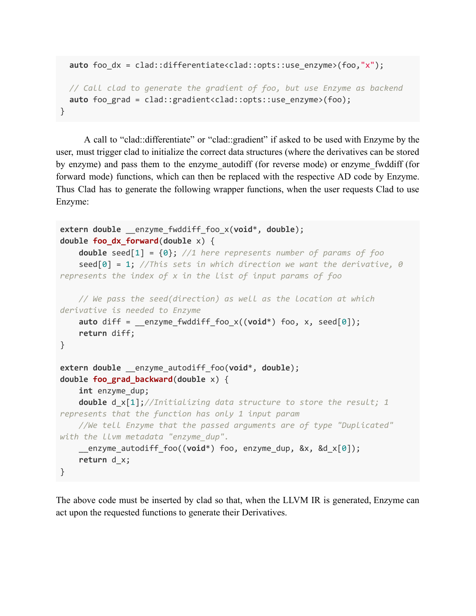```
auto foo dx = clad::differentiate<clad::opts::use_enzyme>(foo,"x");
 // Call clad to generate the gradient of foo, but use Enzyme as backend
 auto foo_grad = clad::gradient<clad::opts::use_enzyme>(foo);
}
```
A call to "clad::differentiate" or "clad::gradient" if asked to be used with Enzyme by the user, must trigger clad to initialize the correct data structures (where the derivatives can be stored by enzyme) and pass them to the enzyme\_autodiff (for reverse mode) or enzyme\_fwddiff (for forward mode) functions, which can then be replaced with the respective AD code by Enzyme. Thus Clad has to generate the following wrapper functions, when the user requests Clad to use Enzyme:

```
extern double __enzyme_fwddiff_foo_x(void*, double);
double foo_dx_forward(double x) {
    double seed[1] = {0}; //1 here represents number of params of foo
    seed[0] = 1; //This sets in which direction we want the derivative, 0
represents the index of x in the list of input params of foo
   // We pass the seed(direction) as well as the location at which
derivative is needed to Enzyme
    auto diff = enzyme fwddiff foo x((void*) foo, x, seed[0]);
    return diff;
}
extern double __enzyme_autodiff_foo(void*, double);
double foo_grad_backward(double x) {
    int enzyme_dup;
    double d_x[1];//Initializing data structure to store the result; 1
represents that the function has only 1 input param
    //We tell Enzyme that the passed arguments are of type "Duplicated"
with the llvm metadata "enzyme_dup".
    __enzyme_autodiff_foo((void*) foo, enzyme_dup, &x, &d_x[0]);
   return d_x;
}
```
The above code must be inserted by clad so that, when the LLVM IR is generated, Enzyme can act upon the requested functions to generate their Derivatives.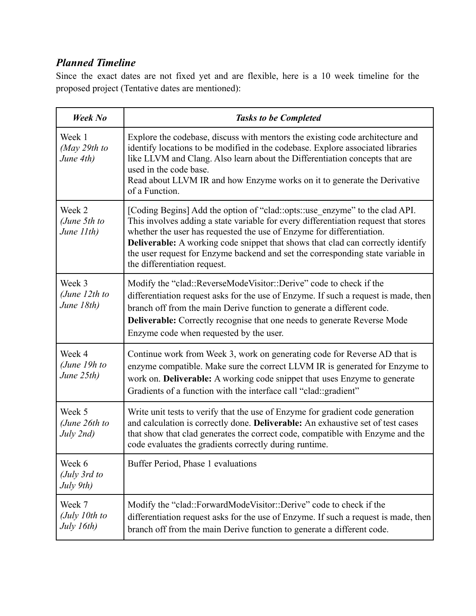## *Planned Timeline*

Since the exact dates are not fixed yet and are flexible, here is a 10 week timeline for the proposed project (Tentative dates are mentioned):

| <b>Week No</b>                          | <b>Tasks to be Completed</b>                                                                                                                                                                                                                                                                                                                                                                                                                             |
|-----------------------------------------|----------------------------------------------------------------------------------------------------------------------------------------------------------------------------------------------------------------------------------------------------------------------------------------------------------------------------------------------------------------------------------------------------------------------------------------------------------|
| Week 1<br>(May 29th to<br>June 4th)     | Explore the codebase, discuss with mentors the existing code architecture and<br>identify locations to be modified in the codebase. Explore associated libraries<br>like LLVM and Clang. Also learn about the Differentiation concepts that are<br>used in the code base.<br>Read about LLVM IR and how Enzyme works on it to generate the Derivative<br>of a Function.                                                                                  |
| Week 2<br>(June 5th to<br>June 11th)    | [Coding Begins] Add the option of "clad::opts::use enzyme" to the clad API.<br>This involves adding a state variable for every differentiation request that stores<br>whether the user has requested the use of Enzyme for differentiation.<br><b>Deliverable:</b> A working code snippet that shows that clad can correctly identify<br>the user request for Enzyme backend and set the corresponding state variable in<br>the differentiation request. |
| Week 3<br>(June $12th$ to<br>June 18th) | Modify the "clad::ReverseModeVisitor::Derive" code to check if the<br>differentiation request asks for the use of Enzyme. If such a request is made, then<br>branch off from the main Derive function to generate a different code.<br><b>Deliverable:</b> Correctly recognise that one needs to generate Reverse Mode<br>Enzyme code when requested by the user.                                                                                        |
| Week 4<br>(June 19 $h$ to<br>June 25th) | Continue work from Week 3, work on generating code for Reverse AD that is<br>enzyme compatible. Make sure the correct LLVM IR is generated for Enzyme to<br>work on. Deliverable: A working code snippet that uses Enzyme to generate<br>Gradients of a function with the interface call "clad: gradient"                                                                                                                                                |
| Week 5<br>(June 26th to<br>July 2nd)    | Write unit tests to verify that the use of Enzyme for gradient code generation<br>and calculation is correctly done. Deliverable: An exhaustive set of test cases<br>that show that clad generates the correct code, compatible with Enzyme and the<br>code evaluates the gradients correctly during runtime.                                                                                                                                            |
| Week 6<br>(July 3rd to<br>July 9th)     | Buffer Period, Phase 1 evaluations                                                                                                                                                                                                                                                                                                                                                                                                                       |
| Week 7<br>(July 10th to<br>July 16th)   | Modify the "clad::ForwardModeVisitor::Derive" code to check if the<br>differentiation request asks for the use of Enzyme. If such a request is made, then<br>branch off from the main Derive function to generate a different code.                                                                                                                                                                                                                      |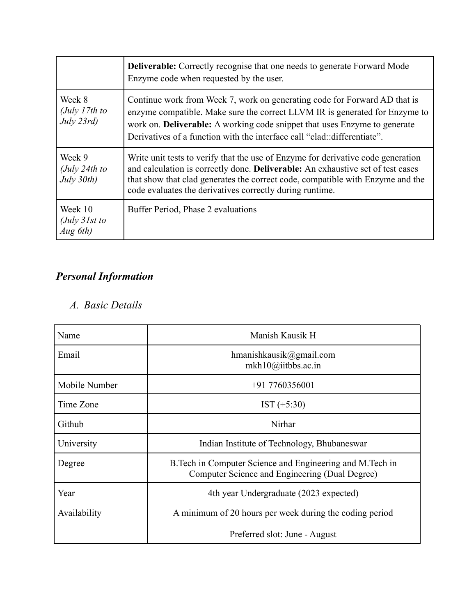|                                                      | <b>Deliverable:</b> Correctly recognise that one needs to generate Forward Mode<br>Enzyme code when requested by the user.                                                                                                                                                                                               |
|------------------------------------------------------|--------------------------------------------------------------------------------------------------------------------------------------------------------------------------------------------------------------------------------------------------------------------------------------------------------------------------|
| Week 8<br>(July 17th to<br>July 23rd)                | Continue work from Week 7, work on generating code for Forward AD that is<br>enzyme compatible. Make sure the correct LLVM IR is generated for Enzyme to<br>work on. <b>Deliverable:</b> A working code snippet that uses Enzyme to generate<br>Derivatives of a function with the interface call "clad: differentiate". |
| Week 9<br>(July 24th to<br>July 30th)                | Write unit tests to verify that the use of Enzyme for derivative code generation<br>and calculation is correctly done. Deliverable: An exhaustive set of test cases<br>that show that clad generates the correct code, compatible with Enzyme and the<br>code evaluates the derivatives correctly during runtime.        |
| Week 10<br>$\int U$ <sub>y</sub> 31st to<br>Aug 6th) | Buffer Period, Phase 2 evaluations                                                                                                                                                                                                                                                                                       |

## *Personal Information*

## *A. Basic Details*

| Name          | Manish Kausik H                                                                                              |
|---------------|--------------------------------------------------------------------------------------------------------------|
| Email         | hmanishkausik@gmail.com<br>mkh10@iitbbs.ac.in                                                                |
| Mobile Number | $+917760356001$                                                                                              |
| Time Zone     | $IST (+5:30)$                                                                                                |
| Github        | Nirhar                                                                                                       |
| University    | Indian Institute of Technology, Bhubaneswar                                                                  |
| Degree        | B. Tech in Computer Science and Engineering and M. Tech in<br>Computer Science and Engineering (Dual Degree) |
| Year          | 4th year Undergraduate (2023 expected)                                                                       |
| Availability  | A minimum of 20 hours per week during the coding period                                                      |
|               | Preferred slot: June - August                                                                                |